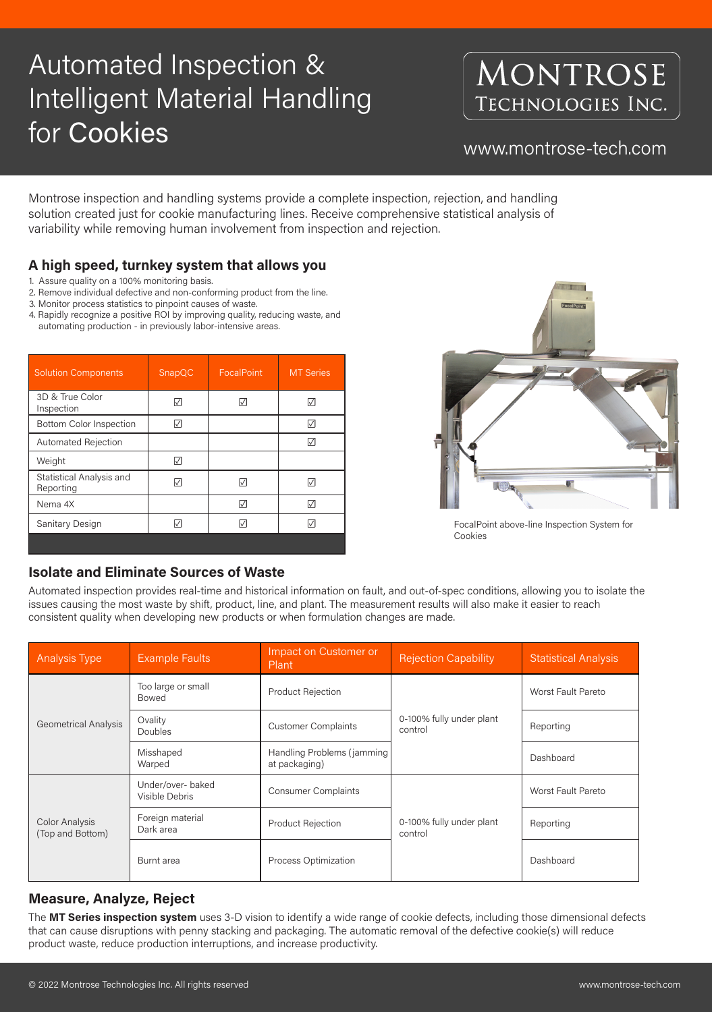# Automated Inspection & Intelligent Material Handling for Cookies www.montrose-tech.com

# MONTROSE TECHNOLOGIES INC.

Montrose inspection and handling systems provide a complete inspection, rejection, and handling solution created just for cookie manufacturing lines. Receive comprehensive statistical analysis of variability while removing human involvement from inspection and rejection.

- 1. Assure quality on a 100% monitoring basis.
- 2. Remove individual defective and non-conforming product from the line.
- 3. Monitor process statistics to pinpoint causes of waste.
- 4. Rapidly recognize a positive ROI by improving quality, reducing waste, and automating production - in previously labor-intensive areas.

| <b>Solution Components</b>            | SnapQC | <b>FocalPoint</b> | <b>MT Series</b> |
|---------------------------------------|--------|-------------------|------------------|
| 3D & True Color<br>Inspection         |        | M                 |                  |
| <b>Bottom Color Inspection</b>        |        |                   | W                |
| <b>Automated Rejection</b>            |        |                   |                  |
| Weight                                | I√l    |                   |                  |
| Statistical Analysis and<br>Reporting |        | $ \surd $         | ΙVΙ              |
| Nema 4X                               |        | V                 |                  |
| Sanitary Design                       |        |                   |                  |
|                                       |        |                   |                  |

#### **Isolate and Eliminate Sources of Waste**

Automated inspection provides real-time and historical information on fault, and out-of-spec conditions, allowing you to isolate the issues causing the most waste by shift, product, line, and plant. The measurement results will also make it easier to reach consistent quality when developing new products or when formulation changes are made.

| <b>Analysis Type</b> | <b>Example Faults</b>              | Impact on Customer or<br>Plant | <b>Rejection Capability</b> | <b>Statistical Analysis</b> |
|----------------------|------------------------------------|--------------------------------|-----------------------------|-----------------------------|
|                      | Too large or small<br><b>Bowed</b> | <b>Product Rejection</b>       |                             | Worst Fault Pareto          |

| <b>Geometrical Analysis</b>               | Ovality<br><b>Doubles</b>           | <b>Customer Complaints</b>                  | 0-100% fully under plant<br>control | Reporting                 |
|-------------------------------------------|-------------------------------------|---------------------------------------------|-------------------------------------|---------------------------|
|                                           | Misshaped<br>Warped                 | Handling Problems (jamming<br>at packaging) |                                     | Dashboard                 |
| <b>Color Analysis</b><br>(Top and Bottom) | Under/over- baked<br>Visible Debris | <b>Consumer Complaints</b>                  | 0-100% fully under plant<br>control | <b>Worst Fault Pareto</b> |
|                                           | Foreign material<br>Dark area       | <b>Product Rejection</b>                    |                                     | Reporting                 |
|                                           | Burnt area                          | <b>Process Optimization</b>                 |                                     | Dashboard                 |

#### **Measure, Analyze, Reject**

The **MT Series inspection system** uses 3-D vision to identify a wide range of cookie defects, including those dimensional defects that can cause disruptions with penny stacking and packaging. The automatic removal of the defective cookie(s) will reduce product waste, reduce production interruptions, and increase productivity.

### **A high speed, turnkey system that allows you**



FocalPoint above-line Inspection System for Cookies